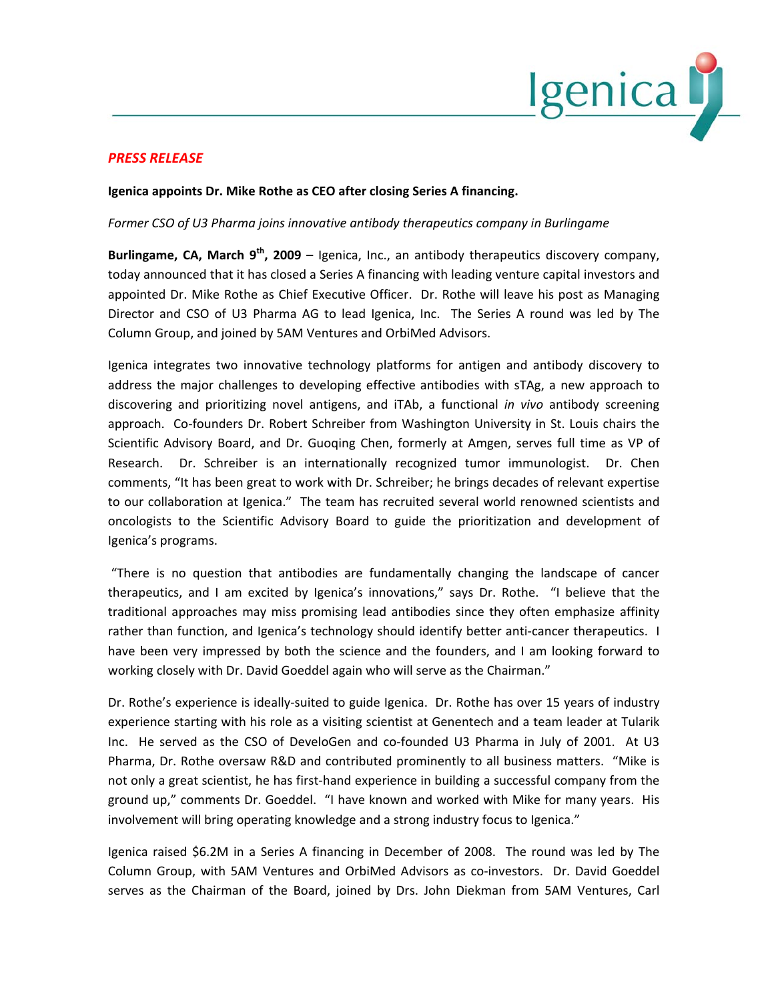

## *PRESS RELEASE*

## **Igenica appoints Dr. Mike Rothe as CEO after closing Series A financing.**

## *Former CSO of U3 Pharma joins innovative antibody therapeutics company in Burlingame*

**Burlingame, CA, March 9th, 2009** – Igenica, Inc., an antibody therapeutics discovery company, today announced that it has closed a Series A financing with leading venture capital investors and appointed Dr. Mike Rothe as Chief Executive Officer. Dr. Rothe will leave his post as Managing Director and CSO of U3 Pharma AG to lead Igenica, Inc. The Series A round was led by The Column Group, and joined by 5AM Ventures and OrbiMed Advisors.

Igenica integrates two innovative technology platforms for antigen and antibody discovery to address the major challenges to developing effective antibodies with sTAg, a new approach to discovering and prioritizing novel antigens, and iTAb, a functional *in vivo* antibody screening approach. Co-founders Dr. Robert Schreiber from Washington University in St. Louis chairs the Scientific Advisory Board, and Dr. Guoqing Chen, formerly at Amgen, serves full time as VP of Research. Dr. Schreiber is an internationally recognized tumor immunologist. Dr. Chen comments, "It has been great to work with Dr. Schreiber; he brings decades of relevant expertise to our collaboration at Igenica." The team has recruited several world renowned scientists and oncologists to the Scientific Advisory Board to guide the prioritization and development of Igenica's programs.

"There is no question that antibodies are fundamentally changing the landscape of cancer therapeutics, and I am excited by Igenica's innovations," says Dr. Rothe. "I believe that the traditional approaches may miss promising lead antibodies since they often emphasize affinity rather than function, and Igenica's technology should identify better anti-cancer therapeutics. I have been very impressed by both the science and the founders, and I am looking forward to working closely with Dr. David Goeddel again who will serve as the Chairman."

Dr. Rothe's experience is ideally-suited to guide Igenica. Dr. Rothe has over 15 years of industry experience starting with his role as a visiting scientist at Genentech and a team leader at Tularik Inc. He served as the CSO of DeveloGen and co-founded U3 Pharma in July of 2001. At U3 Pharma, Dr. Rothe oversaw R&D and contributed prominently to all business matters. "Mike is not only a great scientist, he has first-hand experience in building a successful company from the ground up," comments Dr. Goeddel. "I have known and worked with Mike for many years. His involvement will bring operating knowledge and a strong industry focus to Igenica."

Igenica raised \$6.2M in a Series A financing in December of 2008. The round was led by The Column Group, with 5AM Ventures and OrbiMed Advisors as co-investors. Dr. David Goeddel serves as the Chairman of the Board, joined by Drs. John Diekman from 5AM Ventures, Carl